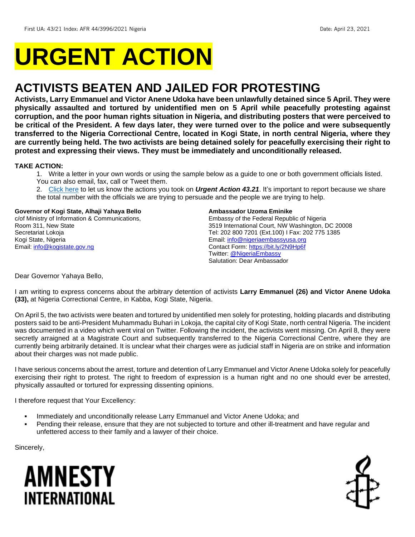# **URGENT ACTION**

## **ACTIVISTS BEATEN AND JAILED FOR PROTESTING**

**Activists, Larry Emmanuel and Victor Anene Udoka have been unlawfully detained since 5 April. They were physically assaulted and tortured by unidentified men on 5 April while peacefully protesting against corruption, and the poor human rights situation in Nigeria, and distributing posters that were perceived to be critical of the President. A few days later, they were turned over to the police and were subsequently transferred to the Nigeria Correctional Centre, located in Kogi State, in north central Nigeria, where they are currently being held. The two activists are being detained solely for peacefully exercising their right to protest and expressing their views. They must be immediately and unconditionally released.**

#### **TAKE ACTION:**

- 1. Write a letter in your own words or using the sample below as a guide to one or both government officials listed. You can also email, fax, call or Tweet them.
- 2. [Click here](https://www.amnestyusa.org/report-urgent-actions/) to let us know the actions you took on *Urgent Action 43.21*. It's important to report because we share the total number with the officials we are trying to persuade and the people we are trying to help.

#### **Governor of Kogi State, Alhaji Yahaya Bello**

c/of Ministry of Information & Communications, Room 311, New State Secretariat Lokoja Kogi State, Nigeria Email: [info@kogistate.gov.ng](mailto:info@kogistate.gov.ng)

#### **Ambassador Uzoma Eminike**

Embassy of the Federal Republic of Nigeria 3519 International Court, NW Washington, DC 20008 Tel: 202 800 7201 (Ext.100) I Fax: 202 775 1385 Email: [info@nigeriaembassyusa.org](mailto:info@nigeriaembassyusa.org) Contact Form:<https://bit.ly/2N9Hp6f> Twitter: [@NigeriaEmbassy](https://twitter.com/nigeriaembassy) Salutation: Dear Ambassador

Dear Governor Yahaya Bello,

I am writing to express concerns about the arbitrary detention of activists **Larry Emmanuel (26) and Victor Anene Udoka (33),** at Nigeria Correctional Centre, in Kabba, Kogi State, Nigeria.

On April 5, the two activists were beaten and tortured by unidentified men solely for protesting, holding placards and distributing posters said to be anti-President Muhammadu Buhari in Lokoja, the capital city of Kogi State, north central Nigeria. The incident was documented in a video which went viral on Twitter. Following the incident, the activists went missing. On April 8, they were secretly arraigned at a Magistrate Court and subsequently transferred to the Nigeria Correctional Centre, where they are currently being arbitrarily detained. It is unclear what their charges were as judicial staff in Nigeria are on strike and information about their charges was not made public.

I have serious concerns about the arrest, torture and detention of Larry Emmanuel and Victor Anene Udoka solely for peacefully exercising their right to protest. The right to freedom of expression is a human right and no one should ever be arrested, physically assaulted or tortured for expressing dissenting opinions.

I therefore request that Your Excellency:

- **Immediately and unconditionally release Larry Emmanuel and Victor Anene Udoka; and**
- Pending their release, ensure that they are not subjected to torture and other ill-treatment and have regular and unfettered access to their family and a lawyer of their choice.

Sincerely,